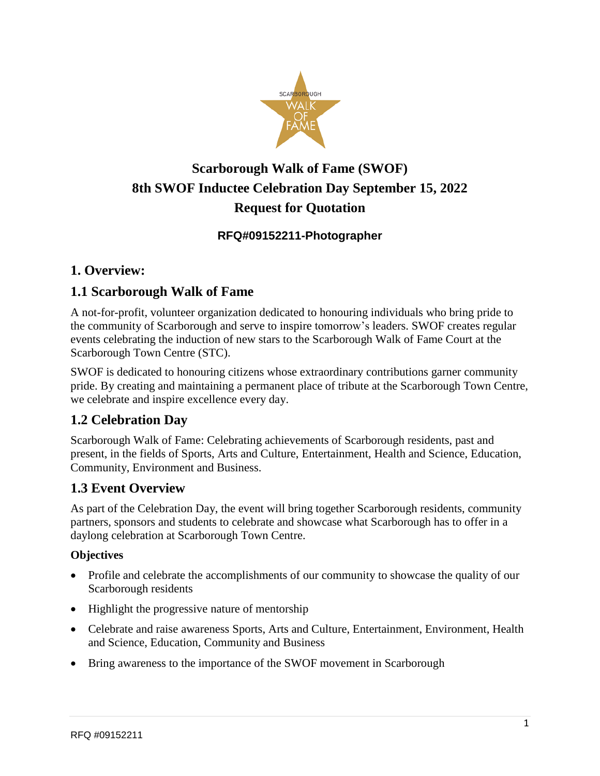

# **Scarborough Walk of Fame (SWOF) 8th SWOF Inductee Celebration Day September 15, 2022 Request for Quotation**

#### **RFQ#09152211-Photographer**

## **1. Overview:**

#### **1.1 Scarborough Walk of Fame**

A not-for-profit, volunteer organization dedicated to honouring individuals who bring pride to the community of Scarborough and serve to inspire tomorrow's leaders. SWOF creates regular events celebrating the induction of new stars to the Scarborough Walk of Fame Court at the Scarborough Town Centre (STC).

SWOF is dedicated to honouring citizens whose extraordinary contributions garner community pride. By creating and maintaining a permanent place of tribute at the Scarborough Town Centre, we celebrate and inspire excellence every day.

## **1.2 Celebration Day**

Scarborough Walk of Fame: Celebrating achievements of Scarborough residents, past and present, in the fields of Sports, Arts and Culture, Entertainment, Health and Science, Education, Community, Environment and Business.

## **1.3 Event Overview**

As part of the Celebration Day, the event will bring together Scarborough residents, community partners, sponsors and students to celebrate and showcase what Scarborough has to offer in a daylong celebration at Scarborough Town Centre.

#### **Objectives**

- Profile and celebrate the accomplishments of our community to showcase the quality of our Scarborough residents
- Highlight the progressive nature of mentorship
- Celebrate and raise awareness Sports, Arts and Culture, Entertainment, Environment, Health and Science, Education, Community and Business
- Bring awareness to the importance of the SWOF movement in Scarborough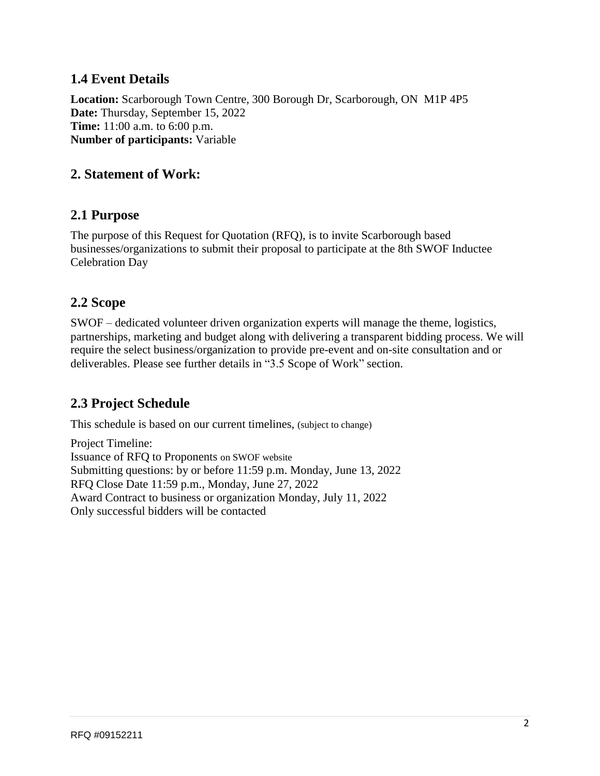## **1.4 Event Details**

**Location:** Scarborough Town Centre, 300 Borough Dr, Scarborough, ON M1P 4P5 **Date:** Thursday, September 15, 2022 **Time:** 11:00 a.m. to 6:00 p.m. **Number of participants:** Variable

#### **2. Statement of Work:**

#### **2.1 Purpose**

The purpose of this Request for Quotation (RFQ), is to invite Scarborough based businesses/organizations to submit their proposal to participate at the 8th SWOF Inductee Celebration Day

#### **2.2 Scope**

SWOF – dedicated volunteer driven organization experts will manage the theme, logistics, partnerships, marketing and budget along with delivering a transparent bidding process. We will require the select business/organization to provide pre-event and on-site consultation and or deliverables. Please see further details in "3.5 Scope of Work" section.

## **2.3 Project Schedule**

This schedule is based on our current timelines, (subject to change)

Project Timeline: Issuance of RFQ to Proponents on SWOF website Submitting questions: by or before 11:59 p.m. Monday, June 13, 2022 RFQ Close Date 11:59 p.m., Monday, June 27, 2022 Award Contract to business or organization Monday, July 11, 2022 Only successful bidders will be contacted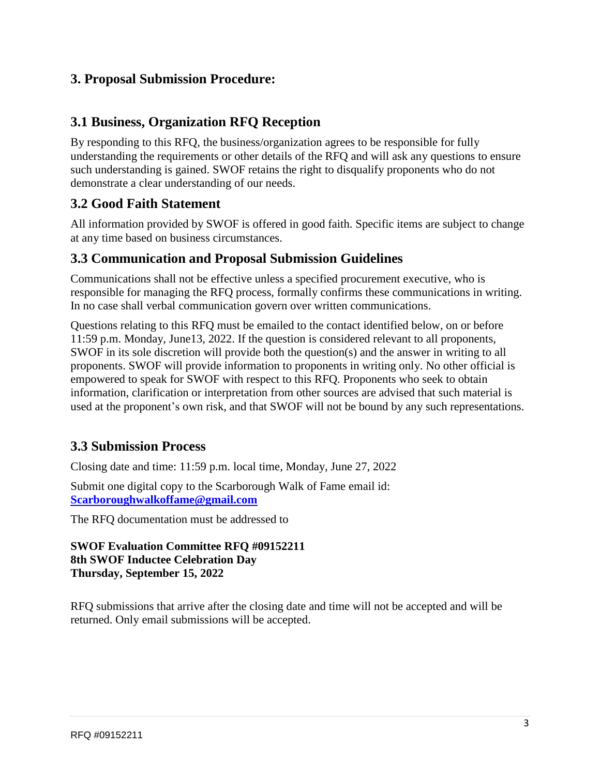#### **3. Proposal Submission Procedure:**

#### **3.1 Business, Organization RFQ Reception**

By responding to this RFQ, the business/organization agrees to be responsible for fully understanding the requirements or other details of the RFQ and will ask any questions to ensure such understanding is gained. SWOF retains the right to disqualify proponents who do not demonstrate a clear understanding of our needs.

## **3.2 Good Faith Statement**

All information provided by SWOF is offered in good faith. Specific items are subject to change at any time based on business circumstances.

#### **3.3 Communication and Proposal Submission Guidelines**

Communications shall not be effective unless a specified procurement executive, who is responsible for managing the RFQ process, formally confirms these communications in writing. In no case shall verbal communication govern over written communications.

Questions relating to this RFQ must be emailed to the contact identified below, on or before 11:59 p.m. Monday, June13, 2022. If the question is considered relevant to all proponents, SWOF in its sole discretion will provide both the question(s) and the answer in writing to all proponents. SWOF will provide information to proponents in writing only. No other official is empowered to speak for SWOF with respect to this RFQ. Proponents who seek to obtain information, clarification or interpretation from other sources are advised that such material is used at the proponent's own risk, and that SWOF will not be bound by any such representations.

## **3.3 Submission Process**

Closing date and time: 11:59 p.m. local time, Monday, June 27, 2022

Submit one digital copy to the Scarborough Walk of Fame email id: **[Scarboroughwalkoffame@gmail.com](mailto:Scarboroughwalkoffame@gmail.com)**

The RFQ documentation must be addressed to

#### **SWOF Evaluation Committee RFQ #09152211 8th SWOF Inductee Celebration Day Thursday, September 15, 2022**

RFQ submissions that arrive after the closing date and time will not be accepted and will be returned. Only email submissions will be accepted.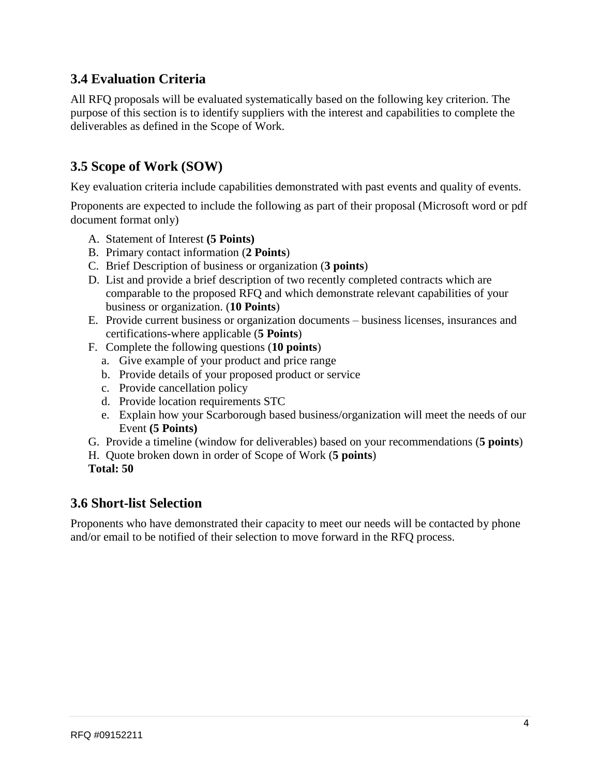# **3.4 Evaluation Criteria**

All RFQ proposals will be evaluated systematically based on the following key criterion. The purpose of this section is to identify suppliers with the interest and capabilities to complete the deliverables as defined in the Scope of Work.

# **3.5 Scope of Work (SOW)**

Key evaluation criteria include capabilities demonstrated with past events and quality of events.

Proponents are expected to include the following as part of their proposal (Microsoft word or pdf document format only)

- A. Statement of Interest **(5 Points)**
- B. Primary contact information (**2 Points**)
- C. Brief Description of business or organization (**3 points**)
- D. List and provide a brief description of two recently completed contracts which are comparable to the proposed RFQ and which demonstrate relevant capabilities of your business or organization. (**10 Points**)
- E. Provide current business or organization documents business licenses, insurances and certifications-where applicable (**5 Points**)
- F. Complete the following questions (**10 points**)
	- a. Give example of your product and price range
	- b. Provide details of your proposed product or service
	- c. Provide cancellation policy
	- d. Provide location requirements STC
	- e. Explain how your Scarborough based business/organization will meet the needs of our Event **(5 Points)**
- G. Provide a timeline (window for deliverables) based on your recommendations (**5 points**)
- H. Quote broken down in order of Scope of Work (**5 points**)
- **Total: 50**

#### **3.6 Short-list Selection**

Proponents who have demonstrated their capacity to meet our needs will be contacted by phone and/or email to be notified of their selection to move forward in the RFQ process.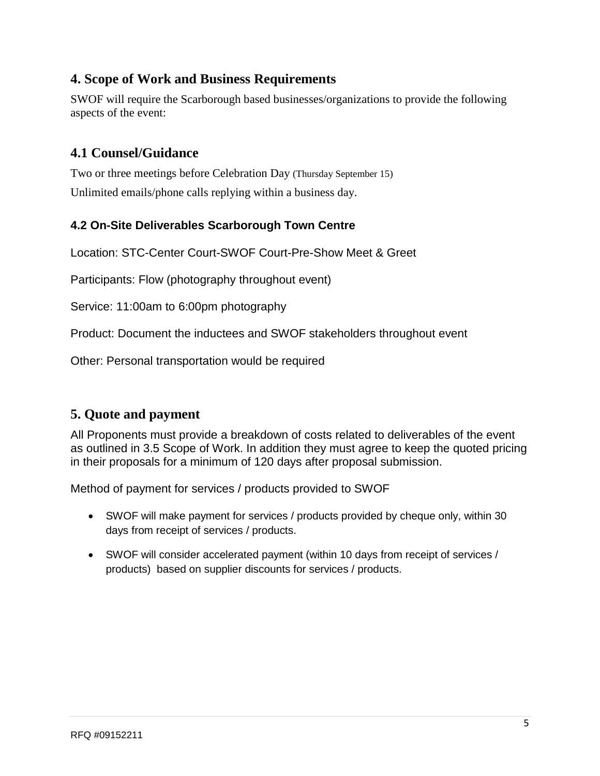# **4. Scope of Work and Business Requirements**

SWOF will require the Scarborough based businesses/organizations to provide the following aspects of the event:

# **4.1 Counsel/Guidance**

Two or three meetings before Celebration Day (Thursday September 15) Unlimited emails/phone calls replying within a business day.

#### **4.2 On-Site Deliverables Scarborough Town Centre**

Location: STC-Center Court-SWOF Court-Pre-Show Meet & Greet

Participants: Flow (photography throughout event)

Service: 11:00am to 6:00pm photography

Product: Document the inductees and SWOF stakeholders throughout event

Other: Personal transportation would be required

## **5. Quote and payment**

All Proponents must provide a breakdown of costs related to deliverables of the event as outlined in 3.5 Scope of Work. In addition they must agree to keep the quoted pricing in their proposals for a minimum of 120 days after proposal submission.

Method of payment for services / products provided to SWOF

- SWOF will make payment for services / products provided by cheque only, within 30 days from receipt of services / products.
- SWOF will consider accelerated payment (within 10 days from receipt of services / products) based on supplier discounts for services / products.